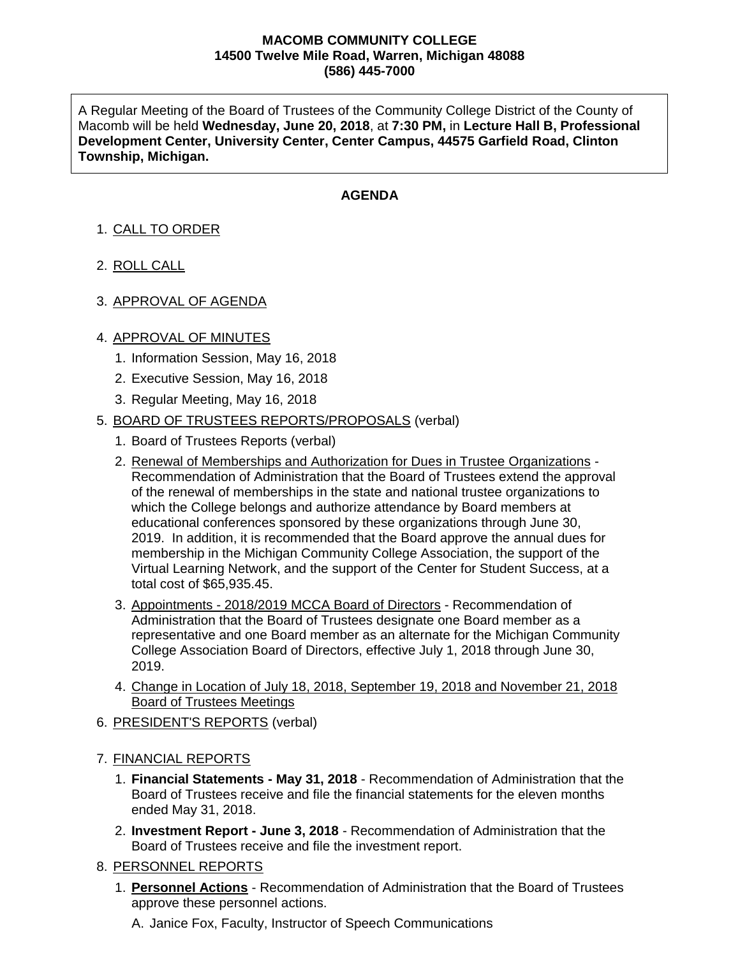## **MACOMB COMMUNITY COLLEGE 14500 Twelve Mile Road, Warren, Michigan 48088 (586) 445-7000**

A Regular Meeting of the Board of Trustees of the Community College District of the County of Macomb will be held **Wednesday, June 20, 2018**, at **7:30 PM,** in **Lecture Hall B, Professional Development Center, University Center, Center Campus, 44575 Garfield Road, Clinton Township, Michigan.**

## **AGENDA**

- 1. CALL TO ORDER
- 2. ROLL CALL
- 3. APPROVAL OF AGENDA

## 4. APPROVAL OF MINUTES

- 1. Information Session, May 16, 2018
- 2. Executive Session, May 16, 2018
- 3. Regular Meeting, May 16, 2018

## 5. BOARD OF TRUSTEES REPORTS/PROPOSALS (verbal)

- 1. Board of Trustees Reports (verbal)
- 2. Renewal of Memberships and Authorization for Dues in Trustee Organizations Recommendation of Administration that the Board of Trustees extend the approval of the renewal of memberships in the state and national trustee organizations to which the College belongs and authorize attendance by Board members at educational conferences sponsored by these organizations through June 30, 2019. In addition, it is recommended that the Board approve the annual dues for membership in the Michigan Community College Association, the support of the Virtual Learning Network, and the support of the Center for Student Success, at a total cost of \$65,935.45.
- 3. Appointments 2018/2019 MCCA Board of Directors Recommendation of Administration that the Board of Trustees designate one Board member as a representative and one Board member as an alternate for the Michigan Community College Association Board of Directors, effective July 1, 2018 through June 30, 2019.
- 4. Change in Location of July 18, 2018, September 19, 2018 and November 21, 2018 Board of Trustees Meetings
- 6. PRESIDENT'S REPORTS (verbal)
- 7. FINANCIAL REPORTS
	- 1. **Financial Statements - May 31, 2018** Recommendation of Administration that the Board of Trustees receive and file the financial statements for the eleven months ended May 31, 2018.
	- 2. **Investment Report - June 3, 2018** Recommendation of Administration that the Board of Trustees receive and file the investment report.
- 8. PERSONNEL REPORTS
	- 1. **Personnel Actions** Recommendation of Administration that the Board of Trustees approve these personnel actions.

A. Janice Fox, Faculty, Instructor of Speech Communications